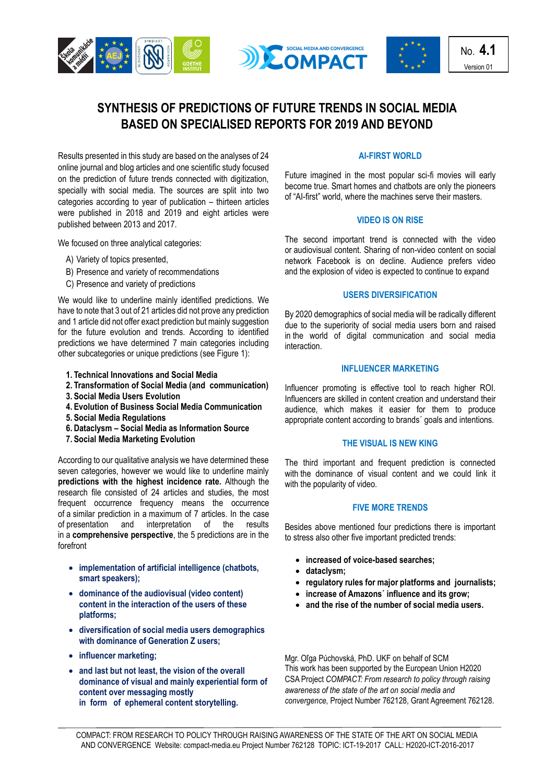





No. **4.1** Version 01

# **SYNTHESIS OF PREDICTIONS OF FUTURE TRENDS IN SOCIAL MEDIA BASED ON SPECIALISED REPORTS FOR 2019 AND BEYOND**

Results presented in this study are based on the analyses of 24 online journal and blog articles and one scientific study focused on the prediction of future trends connected with digitization, specially with social media. The sources are split into two categories according to year of publication – thirteen articles were published in 2018 and 2019 and eight articles were published between 2013 and 2017.

We focused on three analytical categories:

- A) Variety of topics presented,
- B) Presence and variety of recommendations
- C) Presence and variety of predictions

We would like to underline mainly identified predictions. We have to note that 3 out of 21 articles did not prove any prediction and 1 article did not offer exact prediction but mainly suggestion for the future evolution and trends. According to identified predictions we have determined 7 main categories including other subcategories or unique predictions (see Figure 1):

- **1. Technical Innovations and Social Media**
- **2. Transformation of Social Media (and communication)**
- **3. Social Media Users Evolution**
- **4. Evolution of Business Social Media Communication**
- **5. Social Media Regulations**
- **6. Dataclysm – Social Media as Information Source**
- **7. Social Media Marketing Evolution**

According to our qualitative analysis we have determined these seven categories, however we would like to underline mainly **predictions with the highest incidence rate.** Although the research file consisted of 24 articles and studies, the most frequent occurrence frequency means the occurrence of a similar prediction in a maximum of 7 articles. In the case of presentation and interpretation of the results in a **comprehensive perspective**, the 5 predictions are in the forefront

- **implementation of artificial intelligence (chatbots, smart speakers);**
- **dominance of the audiovisual (video content) content in the interaction of the users of these platforms;**
- **diversification of social media users demographics with dominance of Generation Z users;**
- **influencer marketing;**
- **and last but not least, the vision of the overall dominance of visual and mainly experiential form of content over messaging mostly in form of ephemeral content storytelling.**

## **AI-FIRST WORLD**

Future imagined in the most popular sci-fi movies will early become true. Smart homes and chatbots are only the pioneers of "AI-first" world, where the machines serve their masters.

### **VIDEO IS ON RISE**

The second important trend is connected with the video or audiovisual content. Sharing of non-video content on social network Facebook is on decline. Audience prefers video and the explosion of video is expected to continue to expand

### **USERS DIVERSIFICATION**

By 2020 demographics of social media will be radically different due to the superiority of social media users born and raised in the world of digital communication and social media interaction.

#### **INFLUENCER MARKETING**

Influencer promoting is effective tool to reach higher ROI. Influencers are skilled in content creation and understand their audience, which makes it easier for them to produce appropriate content according to brands´ goals and intentions.

## **THE VISUAL IS NEW KING**

The third important and frequent prediction is connected with the dominance of visual content and we could link it with the popularity of video.

## **FIVE MORE TRENDS**

Besides above mentioned four predictions there is important to stress also other five important predicted trends:

- **increased of voice-based searches;**
- **dataclysm;**
- **regulatory rules for major platforms and journalists;**
- **increase of Amazons´ influence and its grow;**
- **and the rise of the number of social media users.**

Mgr. Oľga Púchovská, PhD. UKF on behalf of SCM This work has been supported by the European Union H2020 CSA Project *COMPACT: From research to policy through raising awareness of the state of the art on social media and convergence,* Project Number 762128, Grant Agreement 762128.